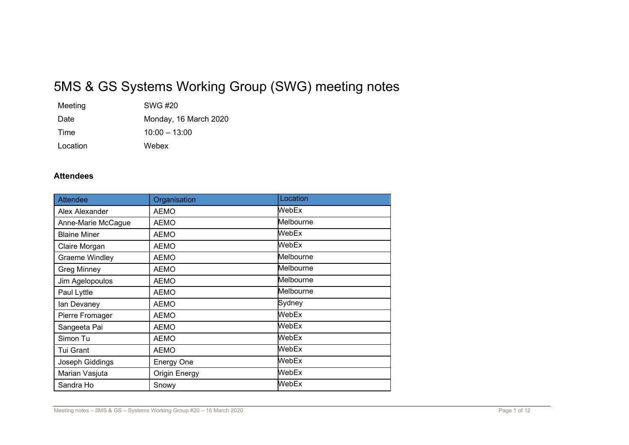# 5MS & GS Systems Working Group (SWG) meeting notes

| Meeting  | SWG #20               |
|----------|-----------------------|
| Date     | Monday, 16 March 2020 |
| Time     | $10:00 - 13:00$       |
| Location | Webex                 |

#### Attendees

| <b>Attendee</b>     | Organisation         | Location  |  |
|---------------------|----------------------|-----------|--|
| Alex Alexander      | <b>AEMO</b>          | WebEx     |  |
| Anne-Marie McCague  | <b>AEMO</b>          | Melbourne |  |
| <b>Blaine Miner</b> | <b>AEMO</b>          | WebEx     |  |
| Claire Morgan       | <b>AEMO</b>          | WebEx     |  |
| Graeme Windley      | <b>AEMO</b>          | Melbourne |  |
| <b>Greg Minney</b>  | <b>AEMO</b>          | Melbourne |  |
| Jim Agelopoulos     | <b>AEMO</b>          | Melbourne |  |
| Paul Lyttle         | <b>AEMO</b>          | Melbourne |  |
| lan Devaney         | <b>AEMO</b>          | Sydney    |  |
| Pierre Fromager     | <b>AEMO</b>          | WebEx     |  |
| Sangeeta Pai        | <b>AEMO</b>          | WebEx     |  |
| Simon Tu            | <b>AEMO</b>          | WebEx     |  |
| Tui Grant           | <b>AEMO</b>          | WebEx     |  |
| Joseph Giddings     | <b>Energy One</b>    | WebEx     |  |
| Marian Vasjuta      | <b>Origin Energy</b> | WebEx     |  |
| Sandra Ho           | Snowy                | WebEx     |  |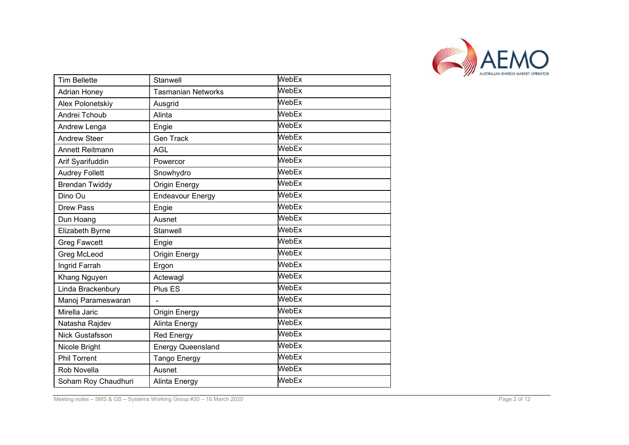

| <b>Tim Bellette</b>    | Stanwell                  | WebEx                       |
|------------------------|---------------------------|-----------------------------|
| <b>Adrian Honey</b>    | <b>Tasmanian Networks</b> | WebEx                       |
| Alex Polonetskiy       | Ausgrid                   | WebEx                       |
| Andrei Tchoub          | Alinta                    | WebEx                       |
| Andrew Lenga           | Engie                     | $\overline{\mathsf{WebEx}}$ |
| <b>Andrew Steer</b>    | <b>Gen Track</b>          | WebEx                       |
| <b>Annett Reitmann</b> | <b>AGL</b>                | WebEx                       |
| Arif Syarifuddin       | Powercor                  | WebEx                       |
| <b>Audrey Follett</b>  | Snowhydro                 | WebEx                       |
| <b>Brendan Twiddy</b>  | Origin Energy             | WebEx                       |
| Dino Ou                | <b>Endeavour Energy</b>   | WebEx                       |
| <b>Drew Pass</b>       | Engie                     | WebEx                       |
| Dun Hoang              | Ausnet                    | WebEx                       |
| Elizabeth Byrne        | Stanwell                  | WebEx                       |
| <b>Greg Fawcett</b>    | Engie                     | WebEx                       |
| <b>Greg McLeod</b>     | <b>Origin Energy</b>      | WebEx                       |
| Ingrid Farrah          | Ergon                     | WebEx                       |
| Khang Nguyen           | Actewagl                  | WebEx                       |
| Linda Brackenbury      | Plus ES                   | WebEx                       |
| Manoj Parameswaran     | L.                        | WebEx                       |
| Mirella Jaric          | <b>Origin Energy</b>      | WebEx                       |
| Natasha Rajdev         | <b>Alinta Energy</b>      | WebEx                       |
| <b>Nick Gustafsson</b> | <b>Red Energy</b>         | WebEx                       |
| Nicole Bright          | <b>Energy Queensland</b>  | WebEx                       |
| <b>Phil Torrent</b>    | Tango Energy              | WebEx                       |
| Rob Novella            | Ausnet                    | WebEx                       |
| Soham Roy Chaudhuri    | Alinta Energy             | WebEx                       |

Meeting notes – 5MS & GS – Systems Working Group #20 – 16 March 2020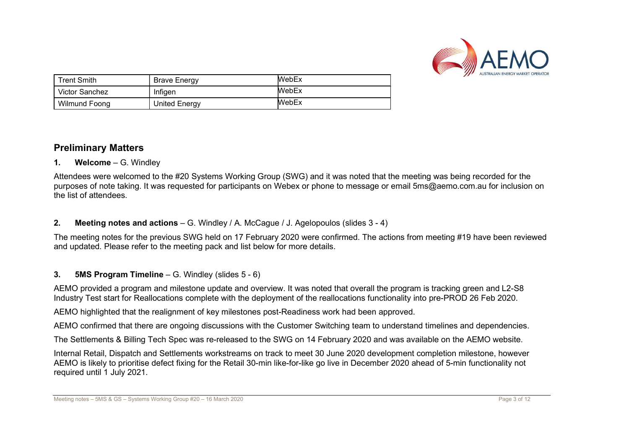

| <b>Trent Smith</b> | Brave Energy  | <b>WebEx</b> |
|--------------------|---------------|--------------|
| Victor Sanchez     | Infigen       | <b>WebEx</b> |
| Wilmund Foona      | United Energy | WebEx        |

# Preliminary Matters

#### 1. Welcome – G. Windley

Attendees were welcomed to the #20 Systems Working Group (SWG) and it was noted that the meeting was being recorded for the purposes of note taking. It was requested for participants on Webex or phone to message or email 5ms@aemo.com.au for inclusion on the list of attendees.

# 2. Meeting notes and actions – G. Windley / A. McCague / J. Agelopoulos (slides 3 - 4)

The meeting notes for the previous SWG held on 17 February 2020 were confirmed. The actions from meeting #19 have been reviewed and updated. Please refer to the meeting pack and list below for more details.

# 3. 5MS Program Timeline  $-$  G. Windley (slides  $5 - 6$ )

AEMO provided a program and milestone update and overview. It was noted that overall the program is tracking green and L2-S8 Industry Test start for Reallocations complete with the deployment of the reallocations functionality into pre-PROD 26 Feb 2020.

AEMO highlighted that the realignment of key milestones post-Readiness work had been approved.

AEMO confirmed that there are ongoing discussions with the Customer Switching team to understand timelines and dependencies.

The Settlements & Billing Tech Spec was re-released to the SWG on 14 February 2020 and was available on the AEMO website.

Internal Retail, Dispatch and Settlements workstreams on track to meet 30 June 2020 development completion milestone, however AEMO is likely to prioritise defect fixing for the Retail 30-min like-for-like go live in December 2020 ahead of 5-min functionality not required until 1 July 2021.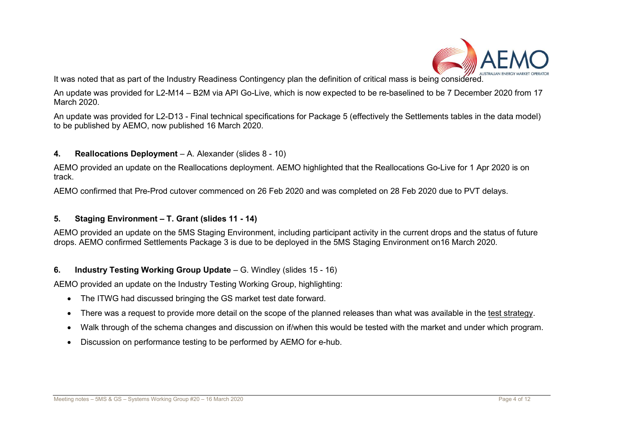

It was noted that as part of the Industry Readiness Contingency plan the definition of critical mass is being considered.

An update was provided for L2-M14 – B2M via API Go-Live, which is now expected to be re-baselined to be 7 December 2020 from 17 March 2020.

An update was provided for L2-D13 - Final technical specifications for Package 5 (effectively the Settlements tables in the data model) to be published by AEMO, now published 16 March 2020.

#### 4. Reallocations Deployment – A. Alexander (slides 8 - 10)

AEMO provided an update on the Reallocations deployment. AEMO highlighted that the Reallocations Go-Live for 1 Apr 2020 is on track.

AEMO confirmed that Pre-Prod cutover commenced on 26 Feb 2020 and was completed on 28 Feb 2020 due to PVT delays.

#### 5. Staging Environment – T. Grant (slides 11 - 14)

AEMO provided an update on the 5MS Staging Environment, including participant activity in the current drops and the status of future drops. AEMO confirmed Settlements Package 3 is due to be deployed in the 5MS Staging Environment on16 March 2020.

#### 6. Industry Testing Working Group Update – G. Windley (slides 15 - 16)

AEMO provided an update on the Industry Testing Working Group, highlighting:

- The ITWG had discussed bringing the GS market test date forward.
- There was a request to provide more detail on the scope of the planned releases than what was available in the test strategy.
- Walk through of the schema changes and discussion on if/when this would be tested with the market and under which program.
- Discussion on performance testing to be performed by AEMO for e-hub.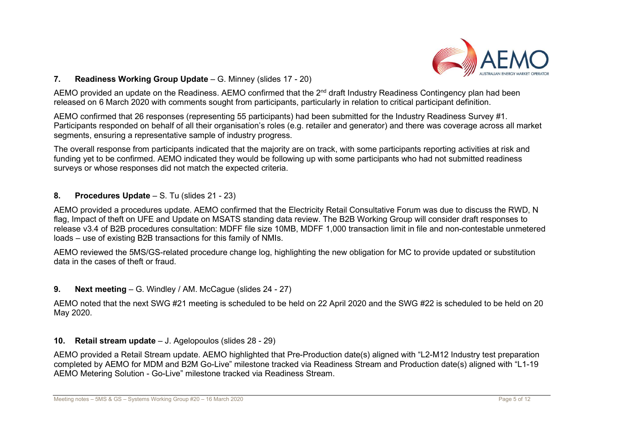

#### 7. Readiness Working Group Update – G. Minney (slides 17 - 20)

AEMO provided an update on the Readiness. AEMO confirmed that the 2<sup>nd</sup> draft Industry Readiness Contingency plan had been released on 6 March 2020 with comments sought from participants, particularly in relation to critical participant definition.

AEMO confirmed that 26 responses (representing 55 participants) had been submitted for the Industry Readiness Survey #1. Participants responded on behalf of all their organisation's roles (e.g. retailer and generator) and there was coverage across all market segments, ensuring a representative sample of industry progress.

The overall response from participants indicated that the majority are on track, with some participants reporting activities at risk and funding yet to be confirmed. AEMO indicated they would be following up with some participants who had not submitted readiness surveys or whose responses did not match the expected criteria.

#### 8. Procedures Update – S. Tu (slides 21 - 23)

AEMO provided a procedures update. AEMO confirmed that the Electricity Retail Consultative Forum was due to discuss the RWD, N flag, Impact of theft on UFE and Update on MSATS standing data review. The B2B Working Group will consider draft responses to release v3.4 of B2B procedures consultation: MDFF file size 10MB, MDFF 1,000 transaction limit in file and non-contestable unmetered loads – use of existing B2B transactions for this family of NMIs.

AEMO reviewed the 5MS/GS-related procedure change log, highlighting the new obligation for MC to provide updated or substitution data in the cases of theft or fraud.

#### 9. Next meeting – G. Windley / AM. McCague (slides 24 - 27)

AEMO noted that the next SWG #21 meeting is scheduled to be held on 22 April 2020 and the SWG #22 is scheduled to be held on 20 May 2020.

#### 10. Retail stream update – J. Agelopoulos (slides 28 - 29)

AEMO provided a Retail Stream update. AEMO highlighted that Pre-Production date(s) aligned with "L2-M12 Industry test preparation completed by AEMO for MDM and B2M Go-Live" milestone tracked via Readiness Stream and Production date(s) aligned with "L1-19 AEMO Metering Solution - Go-Live" milestone tracked via Readiness Stream.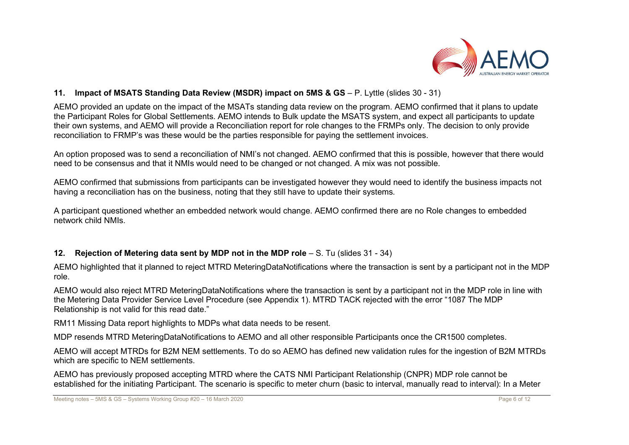

#### 11. Impact of MSATS Standing Data Review (MSDR) impact on 5MS & GS – P. Lyttle (slides 30 - 31)

AEMO provided an update on the impact of the MSATs standing data review on the program. AEMO confirmed that it plans to update the Participant Roles for Global Settlements. AEMO intends to Bulk update the MSATS system, and expect all participants to update their own systems, and AEMO will provide a Reconciliation report for role changes to the FRMPs only. The decision to only provide reconciliation to FRMP's was these would be the parties responsible for paying the settlement invoices.

An option proposed was to send a reconciliation of NMI's not changed. AEMO confirmed that this is possible, however that there would need to be consensus and that it NMIs would need to be changed or not changed. A mix was not possible.

AEMO confirmed that submissions from participants can be investigated however they would need to identify the business impacts not having a reconciliation has on the business, noting that they still have to update their systems.

A participant questioned whether an embedded network would change. AEMO confirmed there are no Role changes to embedded network child NMIs.

# 12. Rejection of Metering data sent by MDP not in the MDP role – S. Tu (slides 31 - 34)

AEMO highlighted that it planned to reject MTRD MeteringDataNotifications where the transaction is sent by a participant not in the MDP role.

AEMO would also reject MTRD MeteringDataNotifications where the transaction is sent by a participant not in the MDP role in line with the Metering Data Provider Service Level Procedure (see Appendix 1). MTRD TACK rejected with the error "1087 The MDP Relationship is not valid for this read date."

RM11 Missing Data report highlights to MDPs what data needs to be resent.

MDP resends MTRD MeteringDataNotifications to AEMO and all other responsible Participants once the CR1500 completes.

AEMO will accept MTRDs for B2M NEM settlements. To do so AEMO has defined new validation rules for the ingestion of B2M MTRDs which are specific to NEM settlements.

AEMO has previously proposed accepting MTRD where the CATS NMI Participant Relationship (CNPR) MDP role cannot be established for the initiating Participant. The scenario is specific to meter churn (basic to interval, manually read to interval): In a Meter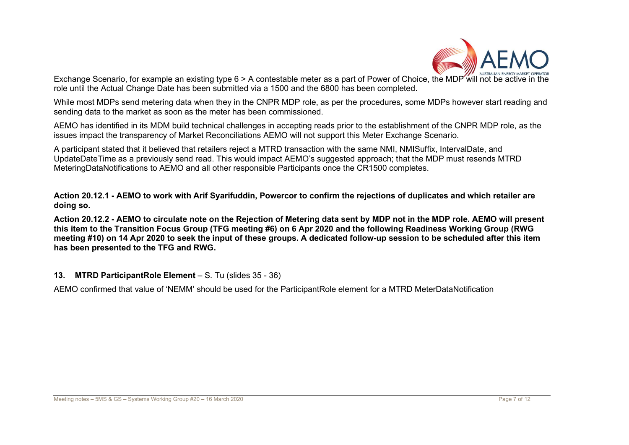

Exchange Scenario, for example an existing type 6 > A contestable meter as a part of Power of Choice, the MDP will not be active in role until the Actual Change Date has been submitted via a 1500 and the 6800 has been completed.

While most MDPs send metering data when they in the CNPR MDP role, as per the procedures, some MDPs however start reading and sending data to the market as soon as the meter has been commissioned.

AEMO has identified in its MDM build technical challenges in accepting reads prior to the establishment of the CNPR MDP role, as the issues impact the transparency of Market Reconciliations AEMO will not support this Meter Exchange Scenario.

A participant stated that it believed that retailers reject a MTRD transaction with the same NMI, NMISuffix, IntervalDate, and UpdateDateTime as a previously send read. This would impact AEMO's suggested approach; that the MDP must resends MTRD MeteringDataNotifications to AEMO and all other responsible Participants once the CR1500 completes.

Action 20.12.1 - AEMO to work with Arif Syarifuddin, Powercor to confirm the rejections of duplicates and which retailer are doing so.

Action 20.12.2 - AEMO to circulate note on the Rejection of Metering data sent by MDP not in the MDP role. AEMO will present this item to the Transition Focus Group (TFG meeting #6) on 6 Apr 2020 and the following Readiness Working Group (RWG meeting #10) on 14 Apr 2020 to seek the input of these groups. A dedicated follow-up session to be scheduled after this item has been presented to the TFG and RWG.

#### 13. MTRD ParticipantRole Element – S. Tu (slides 35 - 36)

AEMO confirmed that value of 'NEMM' should be used for the ParticipantRole element for a MTRD MeterDataNotification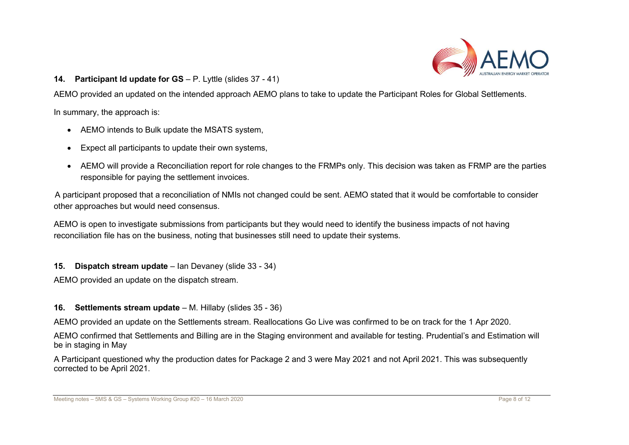

#### 14. Participant Id update for GS – P. Lyttle (slides 37 - 41)

AEMO provided an updated on the intended approach AEMO plans to take to update the Participant Roles for Global Settlements.

In summary, the approach is:

- AEMO intends to Bulk update the MSATS system,
- Expect all participants to update their own systems,
- AEMO will provide a Reconciliation report for role changes to the FRMPs only. This decision was taken as FRMP are the parties responsible for paying the settlement invoices.

A participant proposed that a reconciliation of NMIs not changed could be sent. AEMO stated that it would be comfortable to consider other approaches but would need consensus.

AEMO is open to investigate submissions from participants but they would need to identify the business impacts of not having reconciliation file has on the business, noting that businesses still need to update their systems.

#### 15. Dispatch stream update – Ian Devaney (slide 33 - 34)

AEMO provided an update on the dispatch stream.

#### 16. Settlements stream update – M. Hillaby (slides 35 - 36)

AEMO provided an update on the Settlements stream. Reallocations Go Live was confirmed to be on track for the 1 Apr 2020.

AEMO confirmed that Settlements and Billing are in the Staging environment and available for testing. Prudential's and Estimation will be in staging in May

A Participant questioned why the production dates for Package 2 and 3 were May 2021 and not April 2021. This was subsequently corrected to be April 2021.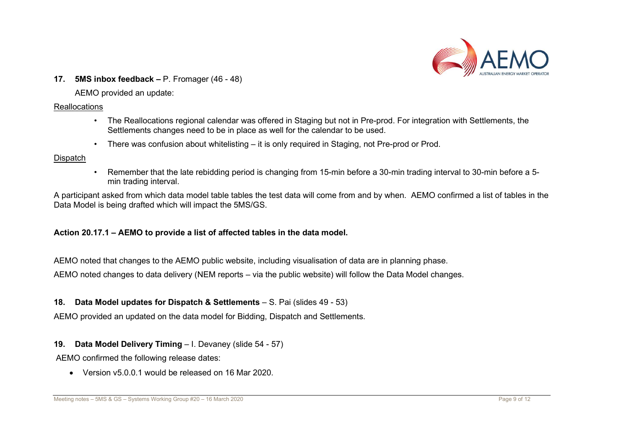

17. 5MS inbox feedback – P. Fromager (46 - 48)

AEMO provided an update:

#### Reallocations

- The Reallocations regional calendar was offered in Staging but not in Pre-prod. For integration with Settlements, the Settlements changes need to be in place as well for the calendar to be used.
- There was confusion about whitelisting it is only required in Staging, not Pre-prod or Prod.

#### **Dispatch**

• Remember that the late rebidding period is changing from 15-min before a 30-min trading interval to 30-min before a 5 min trading interval.

A participant asked from which data model table tables the test data will come from and by when. AEMO confirmed a list of tables in the Data Model is being drafted which will impact the 5MS/GS.

# Action 20.17.1 – AEMO to provide a list of affected tables in the data model.

AEMO noted that changes to the AEMO public website, including visualisation of data are in planning phase.

AEMO noted changes to data delivery (NEM reports – via the public website) will follow the Data Model changes.

# 18. Data Model updates for Dispatch & Settlements – S. Pai (slides 49 - 53)

AEMO provided an updated on the data model for Bidding, Dispatch and Settlements.

# 19. Data Model Delivery Timing – I. Devaney (slide 54 - 57)

AEMO confirmed the following release dates:

Version v5.0.0.1 would be released on 16 Mar 2020.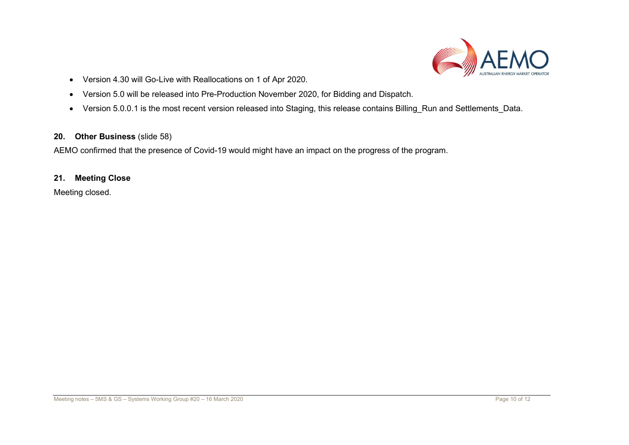

- Version 4.30 will Go-Live with Reallocations on 1 of Apr 2020.
- Version 5.0 will be released into Pre-Production November 2020, for Bidding and Dispatch.
- Version 5.0.0.1 is the most recent version released into Staging, this release contains Billing\_Run and Settlements\_Data.

# 20. Other Business (slide 58)

AEMO confirmed that the presence of Covid-19 would might have an impact on the progress of the program.

# 21. Meeting Close

Meeting closed.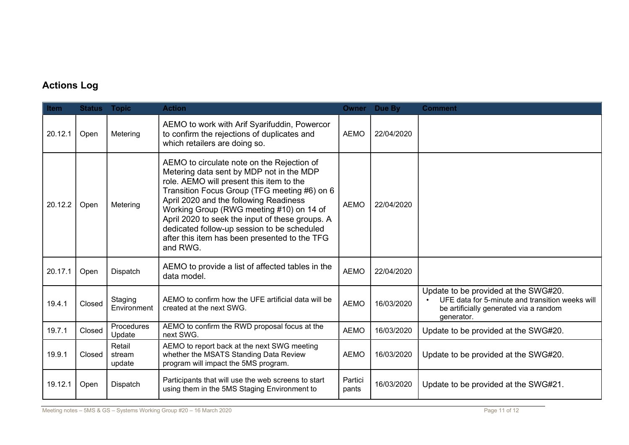# Actions Log

| Item    | <b>Status</b> | <b>Topic</b>               | <b>Action</b>                                                                                                                                                                                                                                                                                                                                                                                                                           | <b>Owner</b>     | Due By     | <b>Comment</b>                                                                                                                                  |
|---------|---------------|----------------------------|-----------------------------------------------------------------------------------------------------------------------------------------------------------------------------------------------------------------------------------------------------------------------------------------------------------------------------------------------------------------------------------------------------------------------------------------|------------------|------------|-------------------------------------------------------------------------------------------------------------------------------------------------|
| 20.12.1 | Open          | Metering                   | AEMO to work with Arif Syarifuddin, Powercor<br>to confirm the rejections of duplicates and<br>which retailers are doing so.                                                                                                                                                                                                                                                                                                            | <b>AEMO</b>      | 22/04/2020 |                                                                                                                                                 |
| 20.12.2 | Open          | Metering                   | AEMO to circulate note on the Rejection of<br>Metering data sent by MDP not in the MDP<br>role. AEMO will present this item to the<br>Transition Focus Group (TFG meeting #6) on 6<br>April 2020 and the following Readiness<br>Working Group (RWG meeting #10) on 14 of<br>April 2020 to seek the input of these groups. A<br>dedicated follow-up session to be scheduled<br>after this item has been presented to the TFG<br>and RWG. | <b>AEMO</b>      | 22/04/2020 |                                                                                                                                                 |
| 20.17.1 | Open          | Dispatch                   | AEMO to provide a list of affected tables in the<br>data model.                                                                                                                                                                                                                                                                                                                                                                         | <b>AEMO</b>      | 22/04/2020 |                                                                                                                                                 |
| 19.4.1  | Closed        | Staging<br>Environment     | AEMO to confirm how the UFE artificial data will be<br>created at the next SWG.                                                                                                                                                                                                                                                                                                                                                         | <b>AEMO</b>      | 16/03/2020 | Update to be provided at the SWG#20.<br>UFE data for 5-minute and transition weeks will<br>be artificially generated via a random<br>generator. |
| 19.7.1  | Closed        | Procedures<br>Update       | AEMO to confirm the RWD proposal focus at the<br>next SWG.                                                                                                                                                                                                                                                                                                                                                                              | <b>AEMO</b>      | 16/03/2020 | Update to be provided at the SWG#20.                                                                                                            |
| 19.9.1  | Closed        | Retail<br>stream<br>update | AEMO to report back at the next SWG meeting<br>whether the MSATS Standing Data Review<br>program will impact the 5MS program.                                                                                                                                                                                                                                                                                                           | <b>AEMO</b>      | 16/03/2020 | Update to be provided at the SWG#20.                                                                                                            |
| 19.12.1 | Open          | Dispatch                   | Participants that will use the web screens to start<br>using them in the 5MS Staging Environment to                                                                                                                                                                                                                                                                                                                                     | Partici<br>pants | 16/03/2020 | Update to be provided at the SWG#21.                                                                                                            |